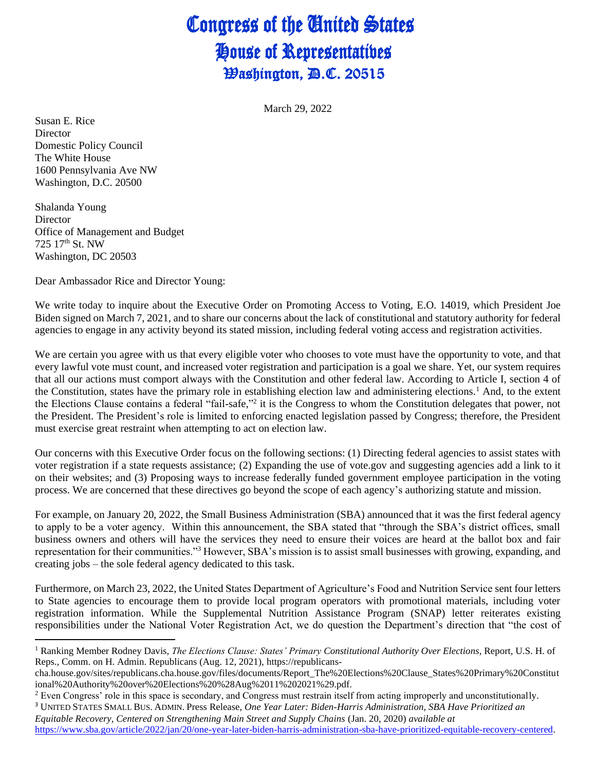## Congress of the United States House of Representatives **Washington, D.C. 20515**

March 29, 2022

Susan E. Rice **Director** Domestic Policy Council The White House 1600 Pennsylvania Ave NW Washington, D.C. 20500

Shalanda Young Director Office of Management and Budget 725 17th St. NW Washington, DC 20503

Dear Ambassador Rice and Director Young:

We write today to inquire about the Executive Order on Promoting Access to Voting, E.O. 14019, which President Joe Biden signed on March 7, 2021, and to share our concerns about the lack of constitutional and statutory authority for federal agencies to engage in any activity beyond its stated mission, including federal voting access and registration activities.

We are certain you agree with us that every eligible voter who chooses to vote must have the opportunity to vote, and that every lawful vote must count, and increased voter registration and participation is a goal we share. Yet, our system requires that all our actions must comport always with the Constitution and other federal law. According to Article I, section 4 of the Constitution, states have the primary role in establishing election law and administering elections.<sup>1</sup> And, to the extent the Elections Clause contains a federal "fail-safe,"<sup>2</sup> it is the Congress to whom the Constitution delegates that power, not the President. The President's role is limited to enforcing enacted legislation passed by Congress; therefore, the President must exercise great restraint when attempting to act on election law.

Our concerns with this Executive Order focus on the following sections: (1) Directing federal agencies to assist states with voter registration if a state requests assistance; (2) Expanding the use of vote.gov and suggesting agencies add a link to it on their websites; and (3) Proposing ways to increase federally funded government employee participation in the voting process. We are concerned that these directives go beyond the scope of each agency's authorizing statute and mission.

For example, on January 20, 2022, the Small Business Administration (SBA) announced that it was the first federal agency to apply to be a voter agency. Within this announcement, the SBA stated that "through the SBA's district offices, small business owners and others will have the services they need to ensure their voices are heard at the ballot box and fair representation for their communities."<sup>3</sup> However, SBA's mission is to assist small businesses with growing, expanding, and creating jobs – the sole federal agency dedicated to this task.

Furthermore, on March 23, 2022, the United States Department of Agriculture's Food and Nutrition Service sent four letters to State agencies to encourage them to provide local program operators with promotional materials, including voter registration information. While the Supplemental Nutrition Assistance Program (SNAP) letter reiterates existing responsibilities under the National Voter Registration Act, we do question the Department's direction that "the cost of

<sup>1</sup> Ranking Member Rodney Davis, *The Elections Clause: States' Primary Constitutional Authority Over Elections*, Report, U.S. H. of Reps., Comm. on H. Admin. Republicans (Aug. 12, 2021), https://republicans-

cha.house.gov/sites/republicans.cha.house.gov/files/documents/Report\_The%20Elections%20Clause\_States%20Primary%20Constitut ional%20Authority%20over%20Elections%20%28Aug%2011%202021%29.pdf.

<sup>&</sup>lt;sup>2</sup> Even Congress' role in this space is secondary, and Congress must restrain itself from acting improperly and unconstitutionally.

<sup>3</sup> UNITED STATES SMALL BUS. ADMIN. Press Release, *One Year Later: Biden-Harris Administration, SBA Have Prioritized an Equitable Recovery, Centered on Strengthening Main Street and Supply Chains* (Jan. 20, 2020) *available at* [https://www.sba.gov/article/2022/jan/20/one-year-later-biden-harris-administration-sba-have-prioritized-equitable-recovery-centered.](https://www.sba.gov/article/2022/jan/20/one-year-later-biden-harris-administration-sba-have-prioritized-equitable-recovery-centered)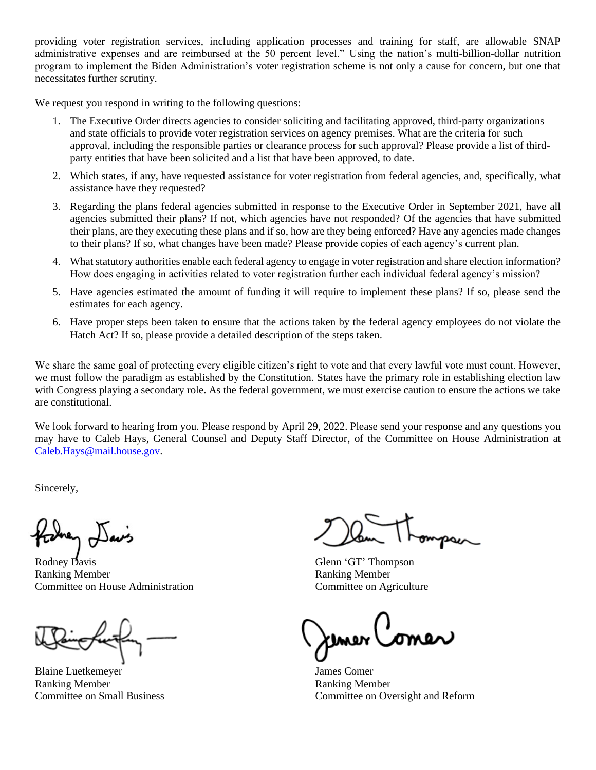providing voter registration services, including application processes and training for staff, are allowable SNAP administrative expenses and are reimbursed at the 50 percent level." Using the nation's multi-billion-dollar nutrition program to implement the Biden Administration's voter registration scheme is not only a cause for concern, but one that necessitates further scrutiny.

We request you respond in writing to the following questions:

- 1. The Executive Order directs agencies to consider soliciting and facilitating approved, third-party organizations and state officials to provide voter registration services on agency premises. What are the criteria for such approval, including the responsible parties or clearance process for such approval? Please provide a list of thirdparty entities that have been solicited and a list that have been approved, to date.
- 2. Which states, if any, have requested assistance for voter registration from federal agencies, and, specifically, what assistance have they requested?
- 3. Regarding the plans federal agencies submitted in response to the Executive Order in September 2021, have all agencies submitted their plans? If not, which agencies have not responded? Of the agencies that have submitted their plans, are they executing these plans and if so, how are they being enforced? Have any agencies made changes to their plans? If so, what changes have been made? Please provide copies of each agency's current plan.
- 4. What statutory authorities enable each federal agency to engage in voter registration and share election information? How does engaging in activities related to voter registration further each individual federal agency's mission?
- 5. Have agencies estimated the amount of funding it will require to implement these plans? If so, please send the estimates for each agency.
- 6. Have proper steps been taken to ensure that the actions taken by the federal agency employees do not violate the Hatch Act? If so, please provide a detailed description of the steps taken.

We share the same goal of protecting every eligible citizen's right to vote and that every lawful vote must count. However, we must follow the paradigm as established by the Constitution. States have the primary role in establishing election law with Congress playing a secondary role. As the federal government, we must exercise caution to ensure the actions we take are constitutional.

We look forward to hearing from you. Please respond by April 29, 2022. Please send your response and any questions you may have to Caleb Hays, General Counsel and Deputy Staff Director, of the Committee on House Administration at [Caleb.Hays@mail.house.gov.](mailto:Caleb.Hays@mail.house.gov)

Sincerely,

í

Rodney Davis Glenn 'GT' Thompson Ranking Member **Ranking Member** Committee on House Administration Committee on Agriculture

Blaine Luetkemeyer James Comer Ranking Member Ranking Member

Committee on Small Business Committee on Oversight and Reform